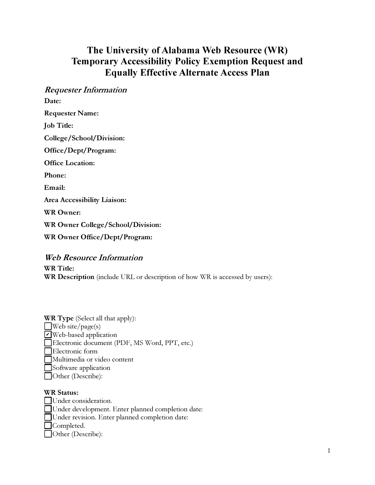# **The University of Alabama Web Resource (WR) Temporary Accessibility Policy Exemption Request and Equally Effective Alternate Access Plan**

*Requester Information*  Date: Requester Name: Job Title: College/ School/Division: Office/Dept/Program: Office Location: Phone: Email: Area Accessibility Liaison: WR Owner: WR Owner College/School/Division: WR Owner Office/Dept/Program:

*Web Resource Information* 

WR Title: WR Description (include URL or description of how WR is accessed by users):

| <b>WR Type</b> (Select all that apply):       |
|-----------------------------------------------|
| Web site/page(s)                              |
| V Web-based application                       |
| Electronic document (PDF, MS Word, PPT, etc.) |
| Electronic form                               |
| Multimedia or video content                   |
| Software application                          |
| Other (Describe):                             |

#### WR Status:

Under consideration. 0Under development. Enter planned completion date: Under revision. Enter planned completion date: **□Completed.** 0 0ther (Describe):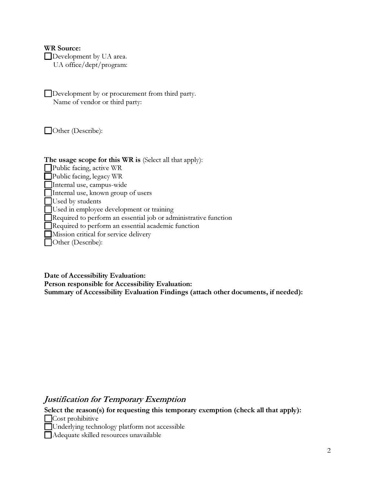#### WR Source:

□Development by UA area.

UA office/ dept/ program:

□Development by or procurement from third party. Name of vendor or third party:

 $\Box$  Other (Describe):

### The usage scope for this WR is (Select all that apply):

□Public facing, active WR

Public facing, legacy  $WR$ ■Public facing, legacy WR<br>■Internal use, campus-wide

□Internal use, campus-wide<br>□Internal use, known group of users

 $\Box$  Used by students

Used in employee development or training

□Required to perform an essential job or administrative function

□Required to perform an essential academic function

□Mission critical for service delivery

□Other (Describe):

Date of Accessibility Evaluation:

Person responsible for Accessibility Evaluation: Summary of Accessibility Evaluation Findings (attach other documents, if needed):

## *Justification for Temporary Exemption*

Select the reason(s) for requesting this temporary exemption (check all that apply):

 $\Box$ Cost prohibitive

■ Cost prohibitive<br>■ Underlying technology platform not accessible

■Underlying technology plattorm not ac<br>■Adequate skilled resources unavailable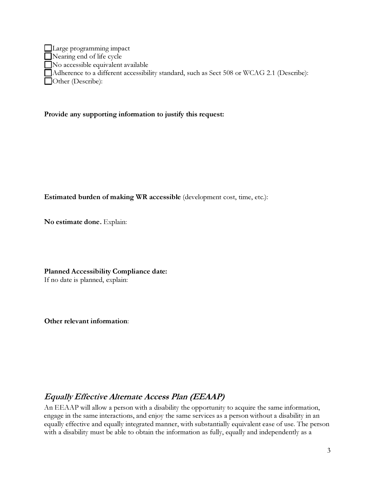**Large programming impact** □Nearing end of *l*ife cycle  $\Box$  No accessible equivalent available □Adherence to a different accessibility standard, such as Sect 508 or WCAG 2.1 (Describe): Other (Describe):

#### Provide any supporting information to justify this request:

Estimated burden of making WR accessible (development cost, time, etc.):

No estimate done. Explain:

Planned Accessibility Compliance date: If no date is planned, explain:

Other relevant information:

# *Equally Effective Alternate Access Plan (EEAAP)*

An EEAAP wi*l*l a*l*low a person with a disabi*l*ity the opportunity to acquire the same information, engage in the same interactions, and enjoy the same services as a person without a disabi*l*ity in an equa*l*ly effective and equa*l*ly integrated manner, with substantia*ll*y equivalent ease of use. The person with a disability must be able to obtain the information as fu*ll*y, equa*l*ly and independent*l*y as a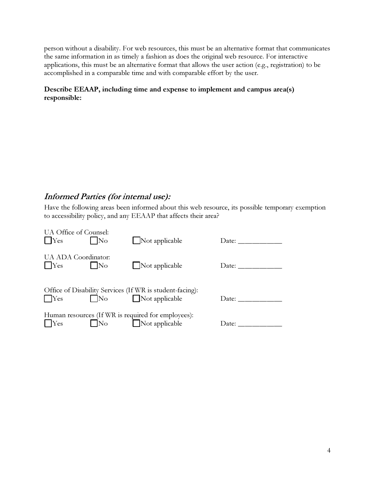person without a disabi*l*ity. For web resources, this must be an alternative format that communicates the same information in as timely a fashion as does the ori*g*inal web resource. For interactive app*l*ications, this must be an alternative format that a*l*lows the user action (e.g., registration) to be accomp*l*ished in a comparable time and with comparable effort by the user.

#### **Describe EEAAP, including time and expense to implement and campus area(s) responsible:**

# *Informed Parties (for internal use):*

Have the fo*l*lowing areas been informed about this web resource, its possible temporary exemption to accessibi*l*ity po*l*icy, and any EEAAP that affects their area?

| UA Office of Counsel:<br>$\vert$ Yes | No                  | $\Box$ Not applicable                                                     | Date: _________ |
|--------------------------------------|---------------------|---------------------------------------------------------------------------|-----------------|
| UA ADA Coordinator:<br>$ $ Yes       | $\overline{\rm No}$ | $\Box$ Not applicable                                                     | Date:           |
| $ $ $ $ Yes                          |                     | Office of Disability Services (If WR is student-facing):<br>$\n  \Box No$ | Date:           |
| $ $ $ $ Yes $ $                      |                     | Human resources (If WR is required for employees):<br>No Not applicable   | Date:           |